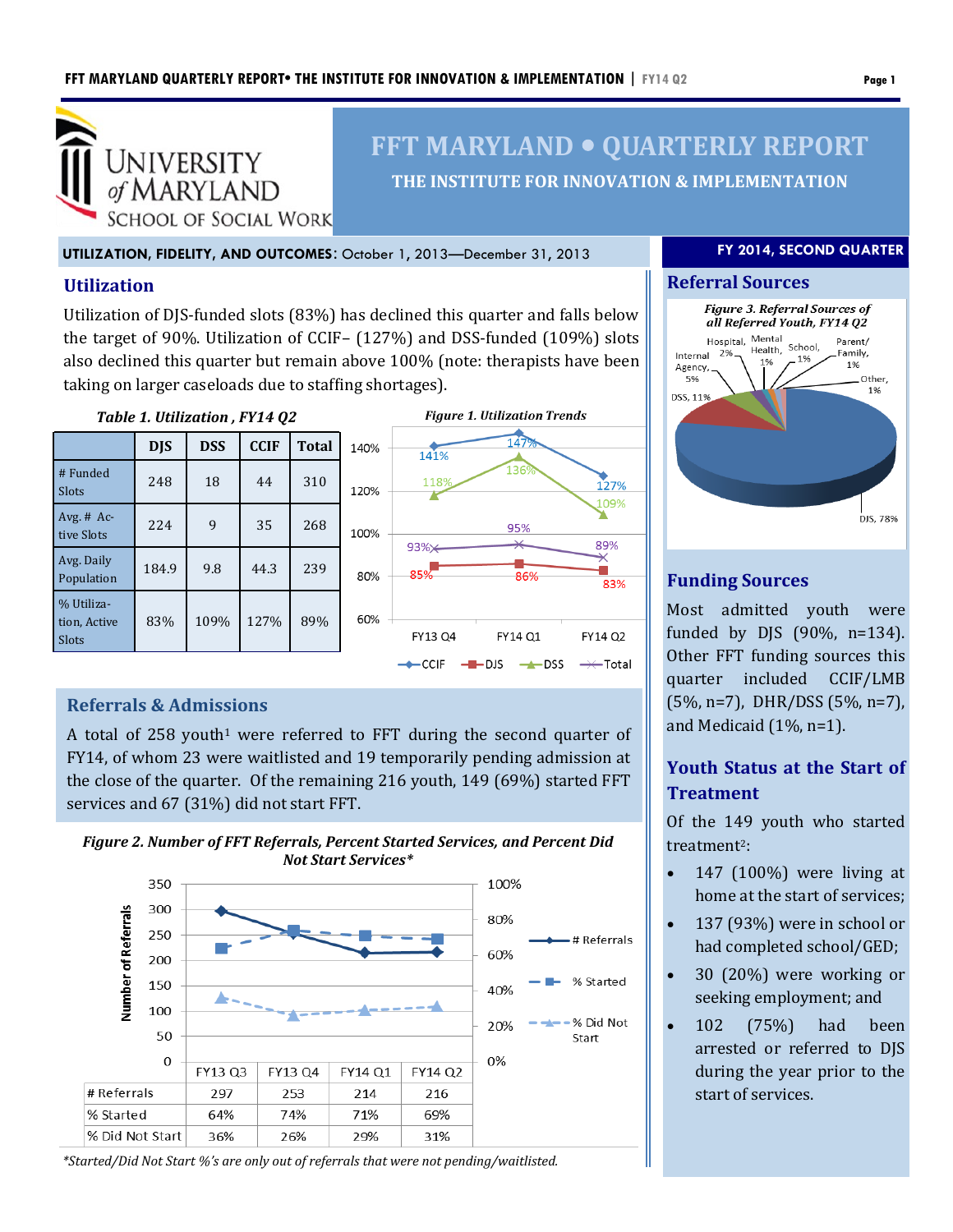

# **FFT MARYLAND QUARTERLY REPORT THE INSTITUTE FOR INNOVATION & IMPLEMENTATION**

**UTILIZATION, FIDELITY, AND OUTCOMES**: October 1, 2013—December 31, 2013

# **Utilization**

Utilization of DJS-funded slots (83%) has declined this quarter and falls below the target of 90%. Utilization of CCIF– (127%) and DSS-funded (109%) slots also declined this quarter but remain above 100% (note: therapists have been taking on larger caseloads due to staffing shortages).



|                                     | <b>DJS</b> | <b>DSS</b> | <b>CCIF</b> | <b>Total</b> | 1 |
|-------------------------------------|------------|------------|-------------|--------------|---|
| # Funded<br><b>Slots</b>            | 248        | 18         | 44          | 310          | 1 |
| Avg. $#$ Ac-<br>tive Slots          | 224        | 9          | 35          | 268          | 1 |
| Avg. Daily<br>Population            | 184.9      | 9.8        | 44.3        | 239          |   |
| % Utiliza-<br>tion, Active<br>Slots | 83%        | 109%       | 127%        | 89%          |   |

**Referrals & Admissions**



#### **FY 2014, SECOND QUARTER**



# **Funding Sources**

Most admitted youth were funded by DJS (90%, n=134). Other FFT funding sources this quarter included CCIF/LMB (5%, n=7), DHR/DSS (5%, n=7), and Medicaid (1%, n=1).

# **Youth Status at the Start of Treatment**

Of the 149 youth who started treatment2:

- 147 (100%) were living at home at the start of services;
- 137 (93%) were in school or had completed school/GED;
- 30 (20%) were working or seeking employment; and
- 102 (75%) had been arrested or referred to DJS during the year prior to the start of services.

the close of the quarter. Of the remaining 216 youth, 149 (69%) started FFT

services and 67 (31%) did not start FFT.



A total of 258 youth<sup>1</sup> were referred to FFT during the second quarter of FY14, of whom 23 were waitlisted and 19 temporarily pending admission at



*\*Started/Did Not Start %'s are only out of referrals that were not pending/waitlisted.*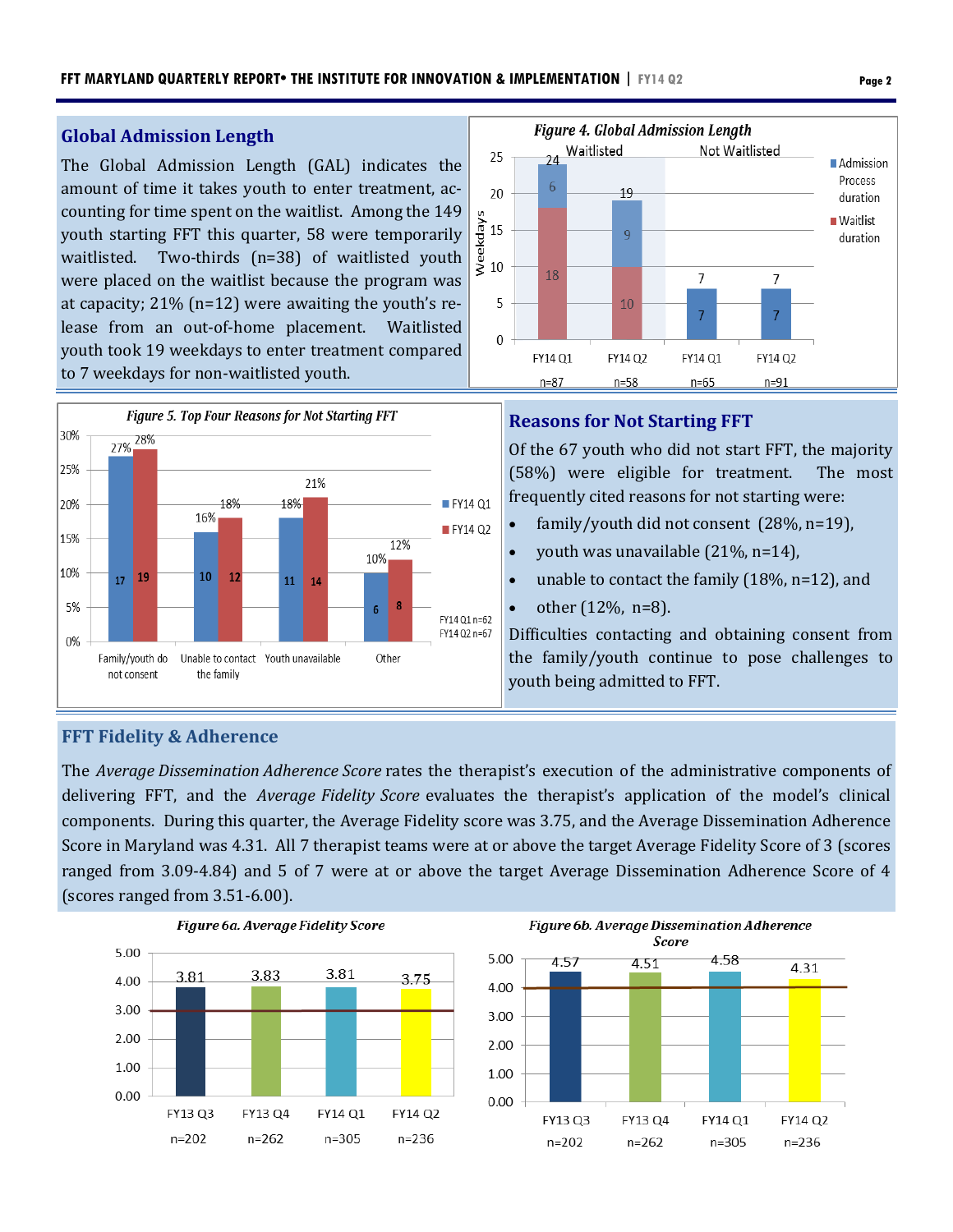#### **Global Admission Length**

The Global Admission Length (GAL) indicates the amount of time it takes youth to enter treatment, accounting for time spent on the waitlist. Among the 149 youth starting FFT this quarter, 58 were temporarily waitlisted. Two-thirds (n=38) of waitlisted youth were placed on the waitlist because the program was at capacity; 21% (n=12) were awaiting the youth's release from an out-of-home placement. Waitlisted youth took 19 weekdays to enter treatment compared to 7 weekdays for non-waitlisted youth.



#### **Figure 4. Global Admission Length** Waitlisted Not Waitlisted 25  $\overline{24}$ **■ Admission** Process 6 20 19 duration  $\frac{8}{15}$ <br> $\frac{8}{10}$ <br> $\frac{8}{10}$ <br> $\frac{15}{10}$ **■ Waitlist**  $\overline{9}$ duration 18 7 7 5 10  $\overline{7}$  $\overline{7}$  $\boldsymbol{0}$ FY14 Q1 FY14 Q2 FY14 Q1 FY14 Q2  $n = 87$  $n = 58$  $n = 91$  $n = 65$

#### **Reasons for Not Starting FFT**

Of the 67 youth who did not start FFT, the majority (58%) were eligible for treatment. The most frequently cited reasons for not starting were:

- family/youth did not consent (28%, n=19),
- youth was unavailable  $(21\%, n=14)$ ,
- unable to contact the family (18%, n=12), and
- other (12%, n=8).

Difficulties contacting and obtaining consent from the family/youth continue to pose challenges to youth being admitted to FFT.

### **FFT Fidelity & Adherence**

The *Average Dissemination Adherence Score* rates the therapist's execution of the administrative components of delivering FFT, and the *Average Fidelity Score* evaluates the therapist's application of the model's clinical components. During this quarter, the Average Fidelity score was 3.75, and the Average Dissemination Adherence Score in Maryland was 4.31. All 7 therapist teams were at or above the target Average Fidelity Score of 3 (scores ranged from 3.09-4.84) and 5 of 7 were at or above the target Average Dissemination Adherence Score of 4 (scores ranged from 3.51-6.00).



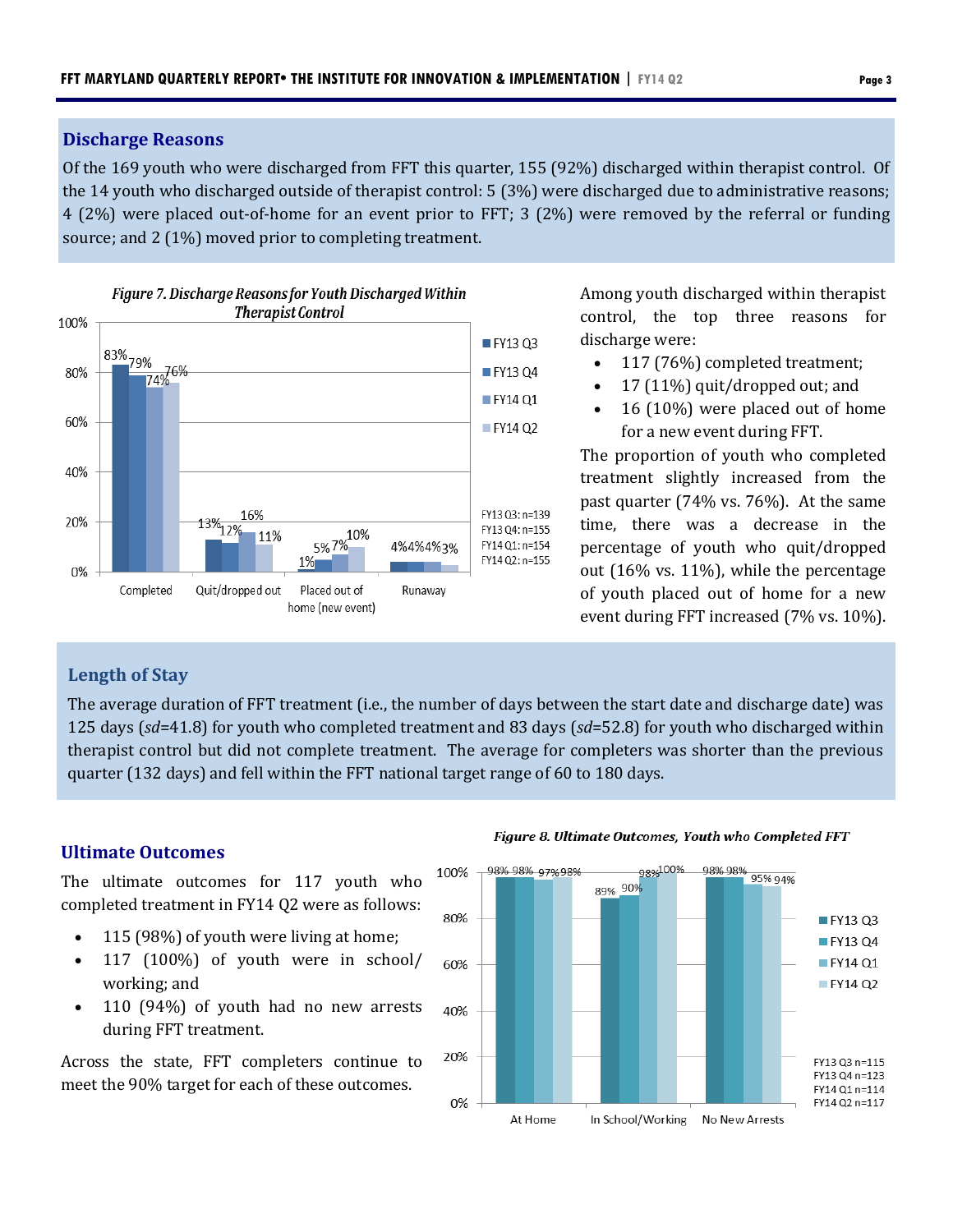#### **Discharge Reasons**

Of the 169 youth who were discharged from FFT this quarter, 155 (92%) discharged within therapist control. Of the 14 youth who discharged outside of therapist control: 5 (3%) were discharged due to administrative reasons; 4 (2%) were placed out-of-home for an event prior to FFT; 3 (2%) were removed by the referral or funding source; and 2 (1%) moved prior to completing treatment.



Among youth discharged within therapist control, the top three reasons for discharge were:

- 117 (76%) completed treatment;
- 17 (11%) quit/dropped out; and
- 16 (10%) were placed out of home for a new event during FFT.

The proportion of youth who completed treatment slightly increased from the past quarter (74% vs. 76%). At the same time, there was a decrease in the percentage of youth who quit/dropped out (16% vs. 11%), while the percentage of youth placed out of home for a new event during FFT increased (7% vs. 10%).

# **Length of Stay**

The average duration of FFT treatment (i.e., the number of days between the start date and discharge date) was 125 days (*sd*=41.8) for youth who completed treatment and 83 days (*sd*=52.8) for youth who discharged within therapist control but did not complete treatment. The average for completers was shorter than the previous quarter (132 days) and fell within the FFT national target range of 60 to 180 days.

# **Ultimate Outcomes**

The ultimate outcomes for 117 youth who completed treatment in FY14 Q2 were as follows:

- 115 (98%) of youth were living at home;
- 117 (100%) of youth were in school/ working; and
- 110 (94%) of youth had no new arrests during FFT treatment.

Across the state, FFT completers continue to meet the 90% target for each of these outcomes.

Figure 8. Ultimate Outcomes, Youth who Completed FFT